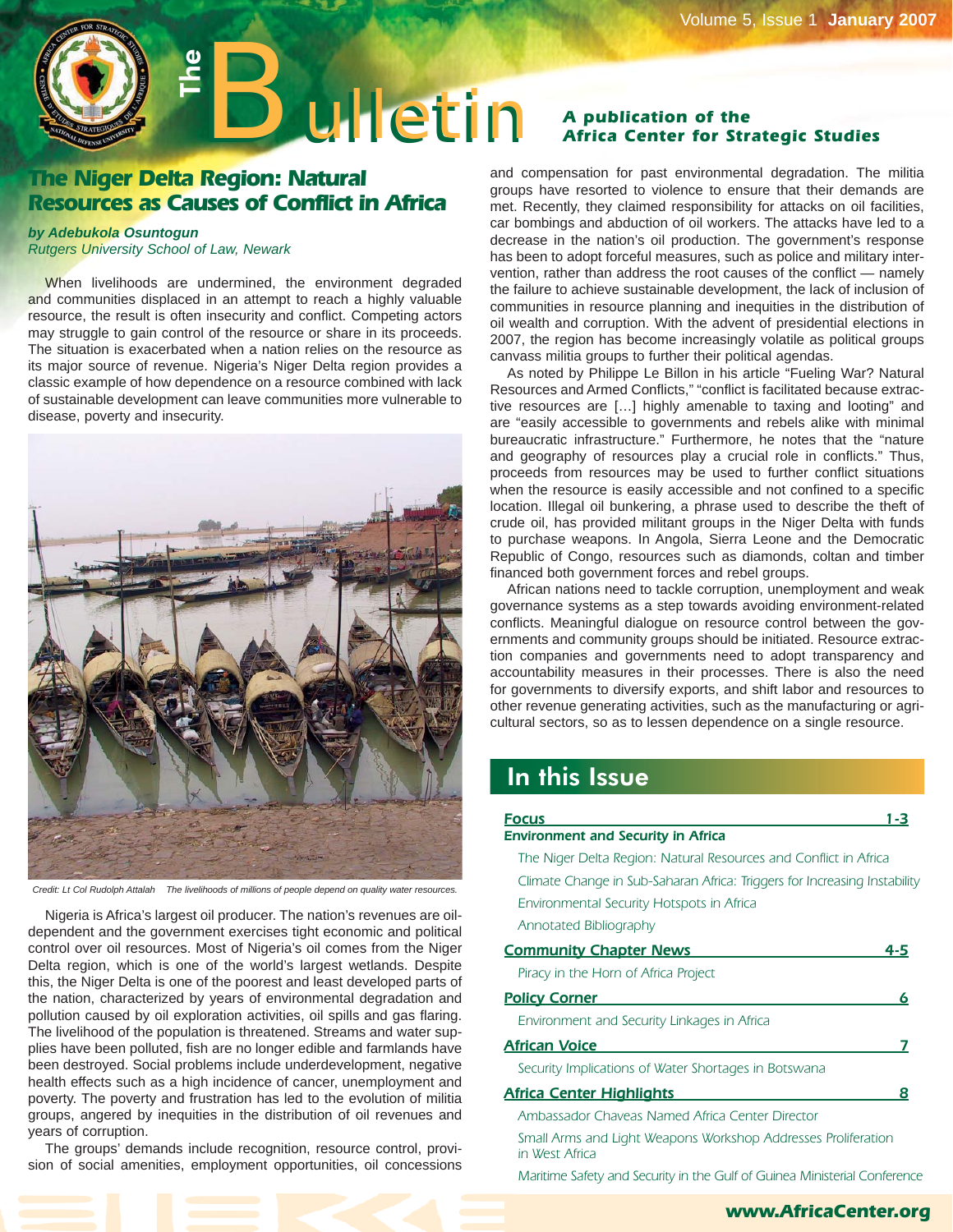

# **The Niger Delta Region: Natural Resources as Causes of Conflict in Africa**

#### *by Adebukola Osuntogun*

*Rutgers University School of Law, Newark*

When livelihoods are undermined, the environment degraded and communities displaced in an attempt to reach a highly valuable resource, the result is often insecurity and conflict. Competing actors may struggle to gain control of the resource or share in its proceeds. The situation is exacerbated when a nation relies on the resource as its major source of revenue. Nigeria's Niger Delta region provides a classic example of how dependence on a resource combined with lack of sustainable development can leave communities more vulnerable to disease, poverty and insecurity.



*Credit: Lt Col Rudolph Attalah The livelihoods of millions of people depend on quality water resources.*

Nigeria is Africa's largest oil producer. The nation's revenues are oildependent and the government exercises tight economic and political control over oil resources. Most of Nigeria's oil comes from the Niger Delta region, which is one of the world's largest wetlands. Despite this, the Niger Delta is one of the poorest and least developed parts of the nation, characterized by years of environmental degradation and pollution caused by oil exploration activities, oil spills and gas flaring. The livelihood of the population is threatened. Streams and water supplies have been polluted, fish are no longer edible and farmlands have been destroyed. Social problems include underdevelopment, negative health effects such as a high incidence of cancer, unemployment and poverty. The poverty and frustration has led to the evolution of militia groups, angered by inequities in the distribution of oil revenues and years of corruption.

The groups' demands include recognition, resource control, provision of social amenities, employment opportunities, oil concessions

# **Africa Center for Strategic Studies**

and compensation for past environmental degradation. The militia groups have resorted to violence to ensure that their demands are met. Recently, they claimed responsibility for attacks on oil facilities, car bombings and abduction of oil workers. The attacks have led to a decrease in the nation's oil production. The government's response has been to adopt forceful measures, such as police and military intervention, rather than address the root causes of the conflict — namely the failure to achieve sustainable development, the lack of inclusion of communities in resource planning and inequities in the distribution of oil wealth and corruption. With the advent of presidential elections in 2007, the region has become increasingly volatile as political groups canvass militia groups to further their political agendas.

As noted by Philippe Le Billon in his article "Fueling War? Natural Resources and Armed Conflicts," "conflict is facilitated because extractive resources are […] highly amenable to taxing and looting" and are "easily accessible to governments and rebels alike with minimal bureaucratic infrastructure." Furthermore, he notes that the "nature and geography of resources play a crucial role in conflicts." Thus, proceeds from resources may be used to further conflict situations when the resource is easily accessible and not confined to a specific location. Illegal oil bunkering, a phrase used to describe the theft of crude oil, has provided militant groups in the Niger Delta with funds to purchase weapons. In Angola, Sierra Leone and the Democratic Republic of Congo, resources such as diamonds, coltan and timber financed both government forces and rebel groups.

African nations need to tackle corruption, unemployment and weak governance systems as a step towards avoiding environment-related conflicts. Meaningful dialogue on resource control between the governments and community groups should be initiated. Resource extraction companies and governments need to adopt transparency and accountability measures in their processes. There is also the need for governments to diversify exports, and shift labor and resources to other revenue generating activities, such as the manufacturing or agricultural sectors, so as to lessen dependence on a single resource.

# In this Issue

| Focus                                                                           | 1-3 |
|---------------------------------------------------------------------------------|-----|
| <b>Environment and Security in Africa</b>                                       |     |
| The Niger Delta Region: Natural Resources and Conflict in Africa                |     |
| Climate Change in Sub-Saharan Africa: Triggers for Increasing Instability       |     |
| Environmental Security Hotspots in Africa                                       |     |
| Annotated Bibliography                                                          |     |
| <b>Community Chapter News</b>                                                   | 4-5 |
| Piracy in the Horn of Africa Project                                            |     |
| <b>Policy Corner</b>                                                            | 6   |
| Environment and Security Linkages in Africa                                     |     |
| African Voice                                                                   |     |
| Security Implications of Water Shortages in Botswana                            |     |
| <u> Africa Center Highlights</u>                                                | 8   |
| Ambassador Chaveas Named Africa Center Director                                 |     |
| Small Arms and Light Weapons Workshop Addresses Proliferation<br>in West Africa |     |
| Maritime Safety and Security in the Gulf of Guinea Ministerial Conference       |     |

#### **www.AfricaCenter.org**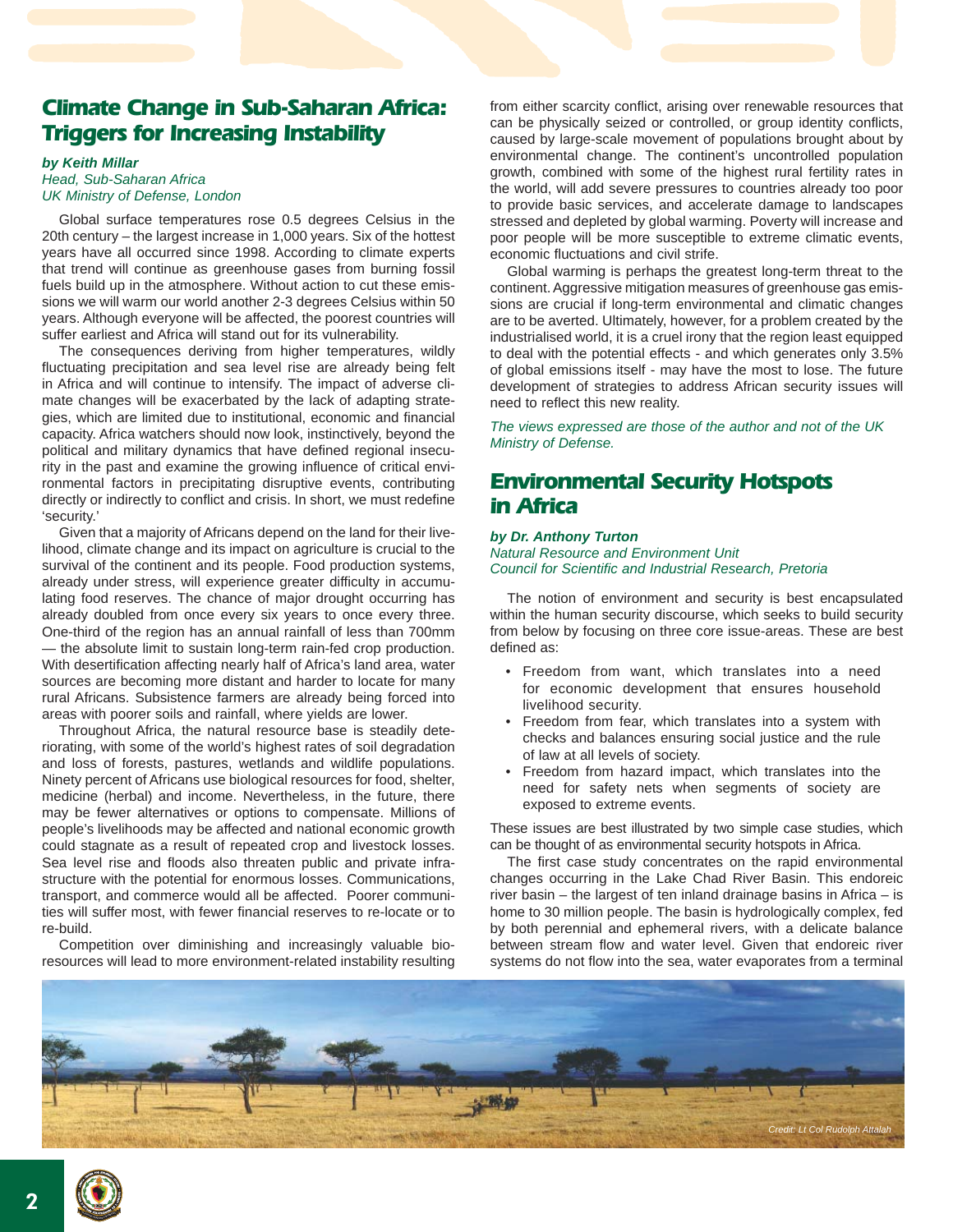# **Climate Change in Sub-Saharan Africa: Triggers for Increasing Instability**

#### *by Keith Millar Head, Sub-Saharan Africa UK Ministry of Defense, London*

Global surface temperatures rose 0.5 degrees Celsius in the 20th century – the largest increase in 1,000 years. Six of the hottest years have all occurred since 1998. According to climate experts that trend will continue as greenhouse gases from burning fossil fuels build up in the atmosphere. Without action to cut these emissions we will warm our world another 2-3 degrees Celsius within 50 years. Although everyone will be affected, the poorest countries will suffer earliest and Africa will stand out for its vulnerability.

The consequences deriving from higher temperatures, wildly fluctuating precipitation and sea level rise are already being felt in Africa and will continue to intensify. The impact of adverse climate changes will be exacerbated by the lack of adapting strategies, which are limited due to institutional, economic and financial capacity. Africa watchers should now look, instinctively, beyond the political and military dynamics that have defined regional insecurity in the past and examine the growing influence of critical environmental factors in precipitating disruptive events, contributing directly or indirectly to conflict and crisis. In short, we must redefine 'security.'

Given that a majority of Africans depend on the land for their livelihood, climate change and its impact on agriculture is crucial to the survival of the continent and its people. Food production systems, already under stress, will experience greater difficulty in accumulating food reserves. The chance of major drought occurring has already doubled from once every six years to once every three. One-third of the region has an annual rainfall of less than 700mm — the absolute limit to sustain long-term rain-fed crop production. With desertification affecting nearly half of Africa's land area, water sources are becoming more distant and harder to locate for many rural Africans. Subsistence farmers are already being forced into areas with poorer soils and rainfall, where yields are lower.

Throughout Africa, the natural resource base is steadily deteriorating, with some of the world's highest rates of soil degradation and loss of forests, pastures, wetlands and wildlife populations. Ninety percent of Africans use biological resources for food, shelter, medicine (herbal) and income. Nevertheless, in the future, there may be fewer alternatives or options to compensate. Millions of people's livelihoods may be affected and national economic growth could stagnate as a result of repeated crop and livestock losses. Sea level rise and floods also threaten public and private infrastructure with the potential for enormous losses. Communications, transport, and commerce would all be affected. Poorer communities will suffer most, with fewer financial reserves to re-locate or to re-build.

Competition over diminishing and increasingly valuable bioresources will lead to more environment-related instability resulting from either scarcity conflict, arising over renewable resources that can be physically seized or controlled, or group identity conflicts, caused by large-scale movement of populations brought about by environmental change. The continent's uncontrolled population growth, combined with some of the highest rural fertility rates in the world, will add severe pressures to countries already too poor to provide basic services, and accelerate damage to landscapes stressed and depleted by global warming. Poverty will increase and poor people will be more susceptible to extreme climatic events, economic fluctuations and civil strife.

Global warming is perhaps the greatest long-term threat to the continent. Aggressive mitigation measures of greenhouse gas emissions are crucial if long-term environmental and climatic changes are to be averted. Ultimately, however, for a problem created by the industrialised world, it is a cruel irony that the region least equipped to deal with the potential effects - and which generates only 3.5% of global emissions itself - may have the most to lose. The future development of strategies to address African security issues will need to reflect this new reality.

*The views expressed are those of the author and not of the UK Ministry of Defense.*

# **Environmental Security Hotspots in Africa**

### *by Dr. Anthony Turton*

*Natural Resource and Environment Unit Council for Scientific and Industrial Research, Pretoria*

The notion of environment and security is best encapsulated within the human security discourse, which seeks to build security from below by focusing on three core issue-areas. These are best defined as:

- Freedom from want, which translates into a need for economic development that ensures household livelihood security.
- Freedom from fear, which translates into a system with checks and balances ensuring social justice and the rule of law at all levels of society.
- Freedom from hazard impact, which translates into the need for safety nets when segments of society are exposed to extreme events.

These issues are best illustrated by two simple case studies, which can be thought of as environmental security hotspots in Africa.

The first case study concentrates on the rapid environmental changes occurring in the Lake Chad River Basin. This endoreic river basin – the largest of ten inland drainage basins in Africa – is home to 30 million people. The basin is hydrologically complex, fed by both perennial and ephemeral rivers, with a delicate balance between stream flow and water level. Given that endoreic river systems do not flow into the sea, water evaporates from a terminal



2 **<sup>N</sup>ATIONA<sup>L</sup> <sup>D</sup>EFENS<sup>E</sup> <sup>U</sup>NIVERSIT<sup>Y</sup>**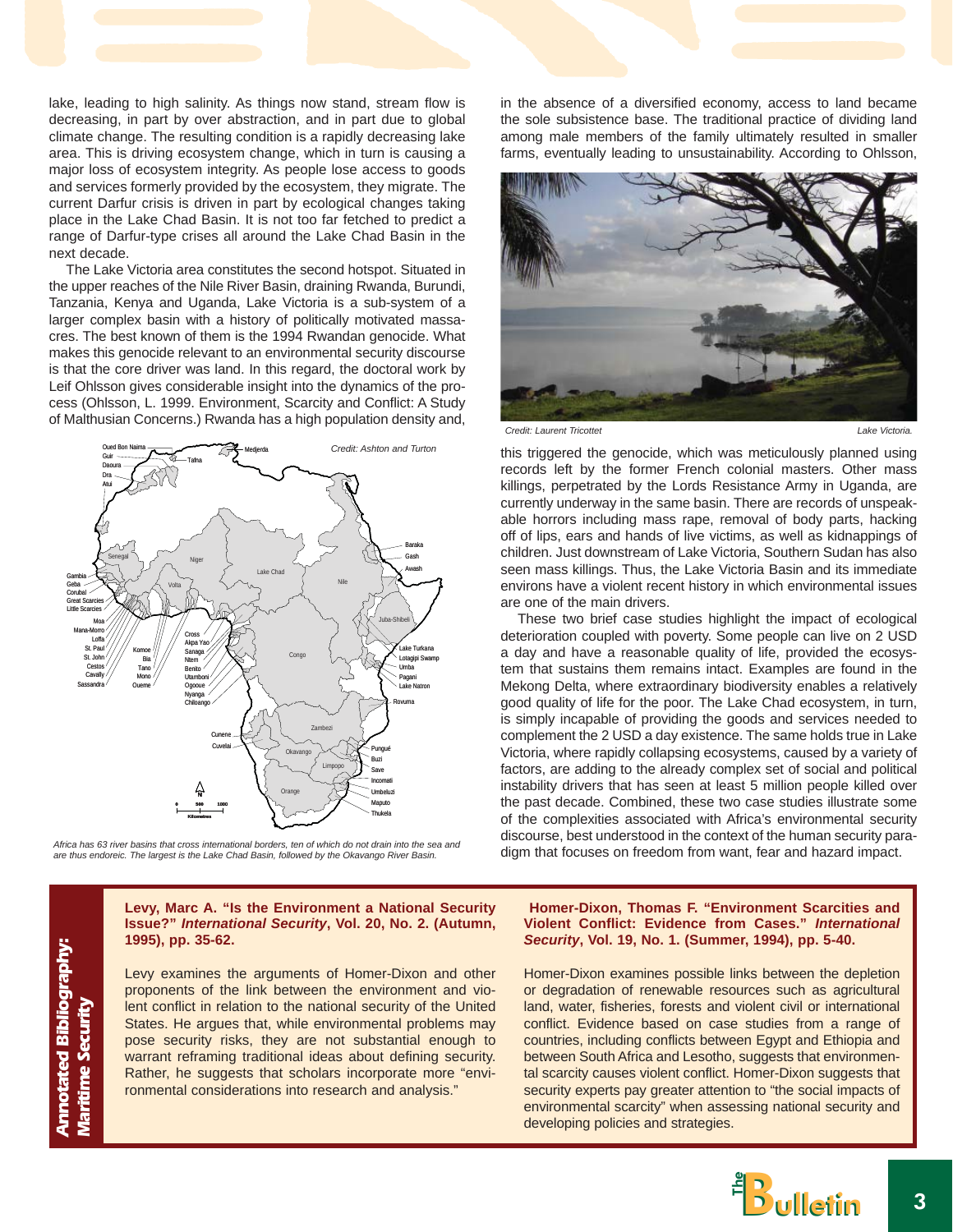lake, leading to high salinity. As things now stand, stream flow is decreasing, in part by over abstraction, and in part due to global climate change. The resulting condition is a rapidly decreasing lake area. This is driving ecosystem change, which in turn is causing a major loss of ecosystem integrity. As people lose access to goods and services formerly provided by the ecosystem, they migrate. The current Darfur crisis is driven in part by ecological changes taking place in the Lake Chad Basin. It is not too far fetched to predict a range of Darfur-type crises all around the Lake Chad Basin in the next decade.

The Lake Victoria area constitutes the second hotspot. Situated in the upper reaches of the Nile River Basin, draining Rwanda, Burundi, Tanzania, Kenya and Uganda, Lake Victoria is a sub-system of a larger complex basin with a history of politically motivated massacres. The best known of them is the 1994 Rwandan genocide. What makes this genocide relevant to an environmental security discourse is that the core driver was land. In this regard, the doctoral work by Leif Ohlsson gives considerable insight into the dynamics of the process (Ohlsson, L. 1999. Environment, Scarcity and Conflict: A Study of Malthusian Concerns.) Rwanda has a high population density and,



*Africa has 63 river basins that cross international borders, ten of which do not drain into the sea and are thus endoreic. The largest is the Lake Chad Basin, followed by the Okavango River Basin.* 

in the absence of a diversified economy, access to land became the sole subsistence base. The traditional practice of dividing land among male members of the family ultimately resulted in smaller farms, eventually leading to unsustainability. According to Ohlsson,



*Credit: Laurent Tricottet Lake Victoria.*

this triggered the genocide, which was meticulously planned using records left by the former French colonial masters. Other mass killings, perpetrated by the Lords Resistance Army in Uganda, are currently underway in the same basin. There are records of unspeakable horrors including mass rape, removal of body parts, hacking off of lips, ears and hands of live victims, as well as kidnappings of children. Just downstream of Lake Victoria, Southern Sudan has also seen mass killings. Thus, the Lake Victoria Basin and its immediate environs have a violent recent history in which environmental issues are one of the main drivers.

These two brief case studies highlight the impact of ecological deterioration coupled with poverty. Some people can live on 2 USD a day and have a reasonable quality of life, provided the ecosystem that sustains them remains intact. Examples are found in the Mekong Delta, where extraordinary biodiversity enables a relatively good quality of life for the poor. The Lake Chad ecosystem, in turn, is simply incapable of providing the goods and services needed to complement the 2 USD a day existence. The same holds true in Lake Victoria, where rapidly collapsing ecosystems, caused by a variety of factors, are adding to the already complex set of social and political instability drivers that has seen at least 5 million people killed over the past decade. Combined, these two case studies illustrate some of the complexities associated with Africa's environmental security discourse, best understood in the context of the human security paradigm that focuses on freedom from want, fear and hazard impact.

**Levy, Marc A. "Is the Environment a National Security Issue?"** *International Security***, Vol. 20, No. 2. (Autumn, 1995), pp. 35-62.** 

Levy examines the arguments of Homer-Dixon and other proponents of the link between the environment and violent conflict in relation to the national security of the United States. He argues that, while environmental problems may pose security risks, they are not substantial enough to warrant reframing traditional ideas about defining security. Rather, he suggests that scholars incorporate more "environmental considerations into research and analysis."

#### **Homer-Dixon, Thomas F. "Environment Scarcities and Violent Conflict: Evidence from Cases."** *International Security***, Vol. 19, No. 1. (Summer, 1994), pp. 5-40.**

Homer-Dixon examines possible links between the depletion or degradation of renewable resources such as agricultural land, water, fisheries, forests and violent civil or international conflict. Evidence based on case studies from a range of countries, including conflicts between Egypt and Ethiopia and between South Africa and Lesotho, suggests that environmental scarcity causes violent conflict. Homer-Dixon suggests that security experts pay greater attention to "the social impacts of environmental scarcity" when assessing national security and developing policies and strategies.



**Annotated Bibliography: Maritime Security Annotated Bibliography: Maritime Security**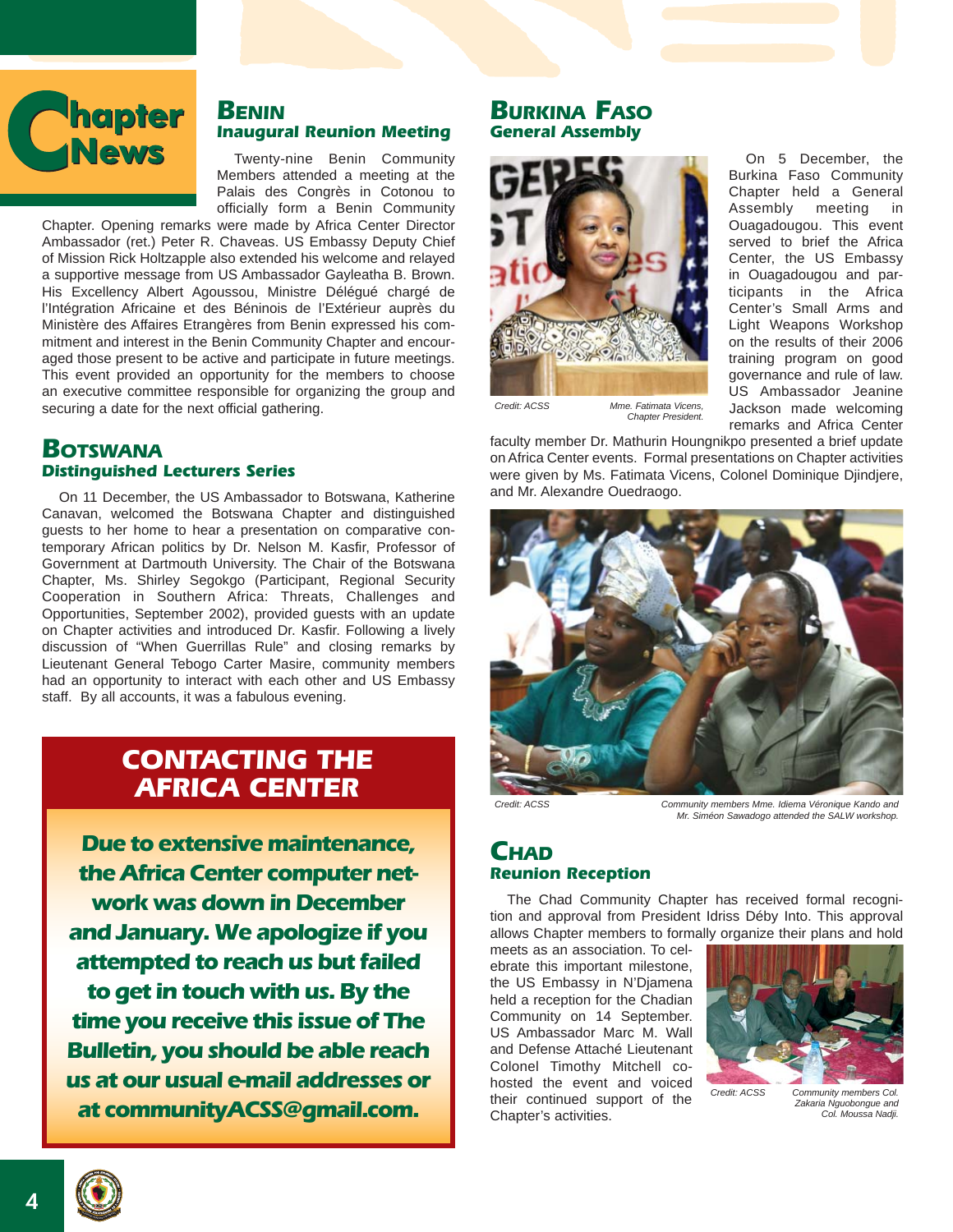

# **BENIN Inaugural Reunion Meeting**

Twenty-nine Benin Community Members attended a meeting at the Palais des Congrès in Cotonou to officially form a Benin Community

Chapter. Opening remarks were made by Africa Center Director Ambassador (ret.) Peter R. Chaveas. US Embassy Deputy Chief of Mission Rick Holtzapple also extended his welcome and relayed a supportive message from US Ambassador Gayleatha B. Brown. His Excellency Albert Agoussou, Ministre Délégué chargé de l'Intégration Africaine et des Béninois de l'Extérieur auprès du Ministère des Affaires Etrangères from Benin expressed his commitment and interest in the Benin Community Chapter and encouraged those present to be active and participate in future meetings. This event provided an opportunity for the members to choose an executive committee responsible for organizing the group and securing a date for the next official gathering.

## **BOTSWANA Distinguished Lecturers Series**

On 11 December, the US Ambassador to Botswana, Katherine Canavan, welcomed the Botswana Chapter and distinguished guests to her home to hear a presentation on comparative contemporary African politics by Dr. Nelson M. Kasfir, Professor of Government at Dartmouth University. The Chair of the Botswana Chapter, Ms. Shirley Segokgo (Participant, Regional Security Cooperation in Southern Africa: Threats, Challenges and Opportunities, September 2002), provided guests with an update on Chapter activities and introduced Dr. Kasfir. Following a lively discussion of "When Guerrillas Rule" and closing remarks by Lieutenant General Tebogo Carter Masire, community members had an opportunity to interact with each other and US Embassy staff. By all accounts, it was a fabulous evening.

# **CONTACTING THE AFRICA CENTER**

**Due to extensive maintenance, the Africa Center computer network was down in December and January. We apologize if you attempted to reach us but failed to get in touch with us. By the time you receive this issue of The Bulletin, you should be able reach us at our usual e-mail addresses or at communityACSS@gmail.com.**

## **BURKINA FASO General Assembly**



*Mme. Fatimata Vicens, Chapter President. Credit: ACSS*

faculty member Dr. Mathurin Houngnikpo presented a brief update on Africa Center events. Formal presentations on Chapter activities were given by Ms. Fatimata Vicens, Colonel Dominique Djindjere, and Mr. Alexandre Ouedraogo.



*Credit: ACSS Community members Mme. Idiema Véronique Kando and Mr. Siméon Sawadogo attended the SALW workshop.*

On 5 December, the Burkina Faso Community Chapter held a General Assembly meeting in Ouagadougou. This event served to brief the Africa Center, the US Embassy in Ouagadougou and participants in the Africa Center's Small Arms and Light Weapons Workshop on the results of their 2006 training program on good governance and rule of law. US Ambassador Jeanine Jackson made welcoming remarks and Africa Center

## **CHAD Reunion Reception**

The Chad Community Chapter has received formal recognition and approval from President Idriss Déby Into. This approval allows Chapter members to formally organize their plans and hold

meets as an association. To celebrate this important milestone, the US Embassy in N'Djamena held a reception for the Chadian Community on 14 September. US Ambassador Marc M. Wall and Defense Attaché Lieutenant Colonel Timothy Mitchell cohosted the event and voiced their continued support of the Chapter's activities.



*Community members Col. Zakaria Nguobongue and Col. Moussa Nadji.*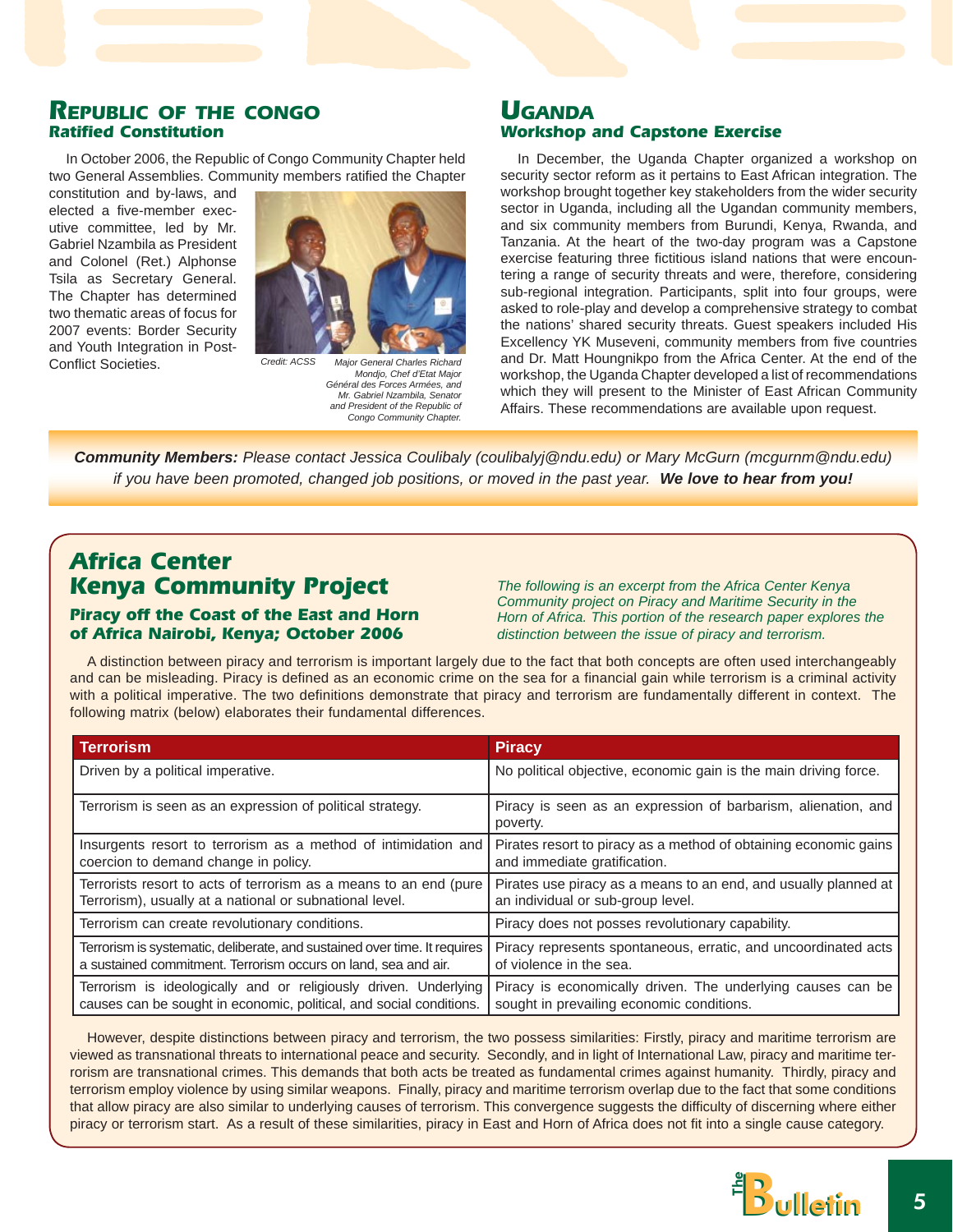### **REPUBLIC OF THE CONGO Ratified Constitution**

In October 2006, the Republic of Congo Community Chapter held two General Assemblies. Community members ratified the Chapter

constitution and by-laws, and elected a five-member executive committee, led by Mr. Gabriel Nzambila as President and Colonel (Ret.) Alphonse Tsila as Secretary General. The Chapter has determined two thematic areas of focus for 2007 events: Border Security and Youth Integration in Post-Conflict Societies.



*Major General Charles Richard Mondjo, Chef d'Etat Major Général des Forces Armées, and Mr. Gabriel Nzambila, Senator and President of the Republic of Congo Community Chapter.*

## **UGANDA Workshop and Capstone Exercise**

In December, the Uganda Chapter organized a workshop on security sector reform as it pertains to East African integration. The workshop brought together key stakeholders from the wider security sector in Uganda, including all the Ugandan community members, and six community members from Burundi, Kenya, Rwanda, and Tanzania. At the heart of the two-day program was a Capstone exercise featuring three fictitious island nations that were encountering a range of security threats and were, therefore, considering sub-regional integration. Participants, split into four groups, were asked to role-play and develop a comprehensive strategy to combat the nations' shared security threats. Guest speakers included His Excellency YK Museveni, community members from five countries and Dr. Matt Houngnikpo from the Africa Center. At the end of the workshop, the Uganda Chapter developed a list of recommendations which they will present to the Minister of East African Community Affairs. These recommendations are available upon request.

*Community Members: Please contact Jessica Coulibaly (coulibalyj@ndu.edu) or Mary McGurn (mcgurnm@ndu.edu) if you have been promoted, changed job positions, or moved in the past year. We love to hear from you!*

# **Africa Center Kenya Community Project**

### **Piracy off the Coast of the East and Horn of Africa Nairobi, Kenya; October 2006**

*The following is an excerpt from the Africa Center Kenya Community project on Piracy and Maritime Security in the Horn of Africa. This portion of the research paper explores the distinction between the issue of piracy and terrorism.*

A distinction between piracy and terrorism is important largely due to the fact that both concepts are often used interchangeably and can be misleading. Piracy is defined as an economic crime on the sea for a financial gain while terrorism is a criminal activity with a political imperative. The two definitions demonstrate that piracy and terrorism are fundamentally different in context. The following matrix (below) elaborates their fundamental differences.

| <b>Terrorism</b>                                                          | <b>Piracy</b>                                                             |  |
|---------------------------------------------------------------------------|---------------------------------------------------------------------------|--|
| Driven by a political imperative.                                         | No political objective, economic gain is the main driving force.          |  |
| Terrorism is seen as an expression of political strategy.                 | Piracy is seen as an expression of barbarism, alienation, and<br>poverty. |  |
| Insurgents resort to terrorism as a method of intimidation and            | Pirates resort to piracy as a method of obtaining economic gains          |  |
| coercion to demand change in policy.                                      | and immediate gratification.                                              |  |
| Terrorists resort to acts of terrorism as a means to an end (pure         | Pirates use piracy as a means to an end, and usually planned at           |  |
| Terrorism), usually at a national or subnational level.                   | an individual or sub-group level.                                         |  |
| Terrorism can create revolutionary conditions.                            | Piracy does not posses revolutionary capability.                          |  |
| Terrorism is systematic, deliberate, and sustained over time. It requires | Piracy represents spontaneous, erratic, and uncoordinated acts            |  |
| a sustained commitment. Terrorism occurs on land, sea and air.            | of violence in the sea.                                                   |  |
| Terrorism is ideologically and or religiously driven. Underlying          | Piracy is economically driven. The underlying causes can be               |  |
| causes can be sought in economic, political, and social conditions.       | sought in prevailing economic conditions.                                 |  |

However, despite distinctions between piracy and terrorism, the two possess similarities: Firstly, piracy and maritime terrorism are viewed as transnational threats to international peace and security. Secondly, and in light of International Law, piracy and maritime terrorism are transnational crimes. This demands that both acts be treated as fundamental crimes against humanity. Thirdly, piracy and terrorism employ violence by using similar weapons. Finally, piracy and maritime terrorism overlap due to the fact that some conditions that allow piracy are also similar to underlying causes of terrorism. This convergence suggests the difficulty of discerning where either piracy or terrorism start. As a result of these similarities, piracy in East and Horn of Africa does not fit into a single cause category.

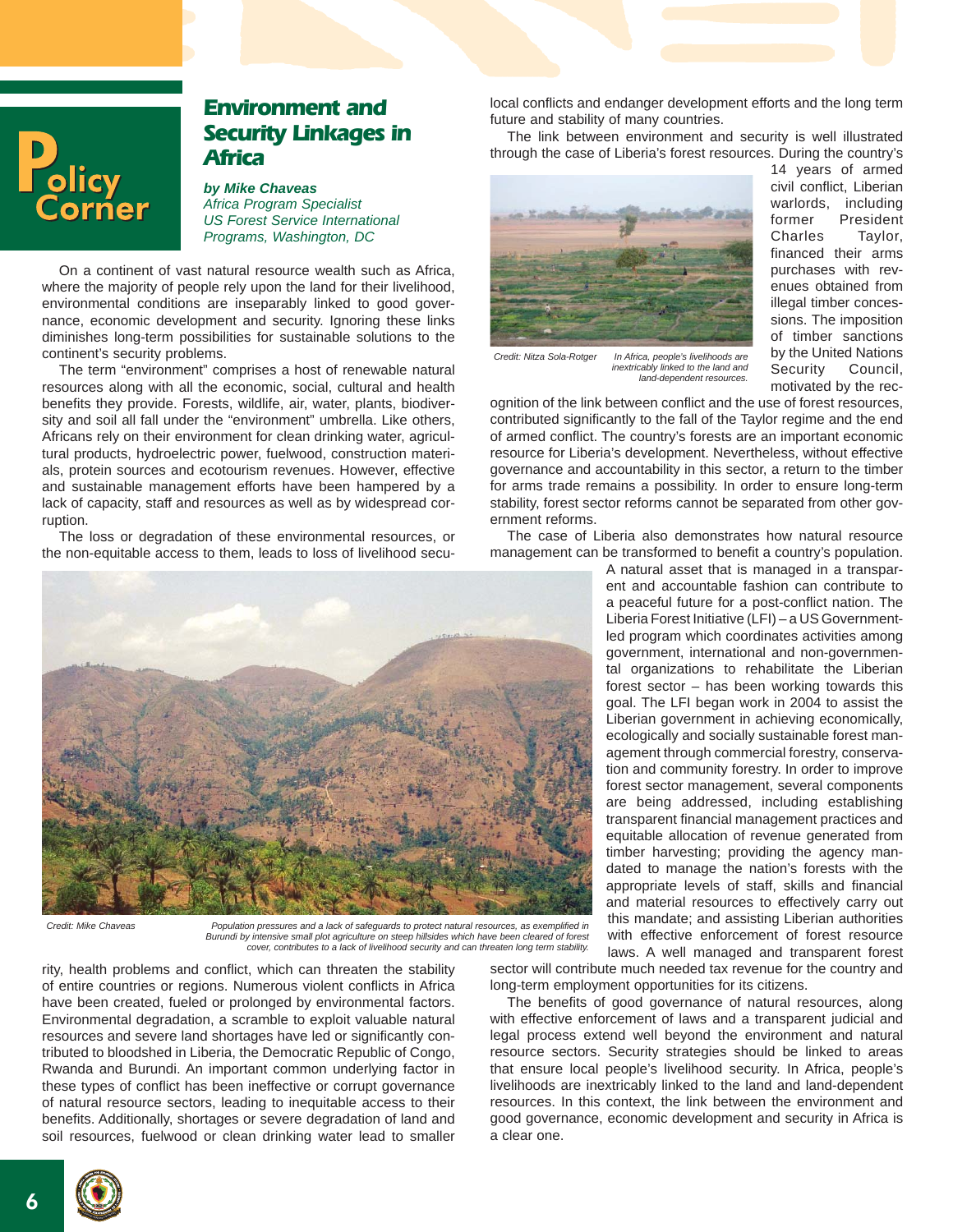

# **Environment and Security Linkages in Africa**

*by Mike Chaveas Africa Program Specialist US Forest Service International Programs, Washington, DC*

On a continent of vast natural resource wealth such as Africa, where the majority of people rely upon the land for their livelihood, environmental conditions are inseparably linked to good governance, economic development and security. Ignoring these links diminishes long-term possibilities for sustainable solutions to the continent's security problems.

The term "environment" comprises a host of renewable natural resources along with all the economic, social, cultural and health benefits they provide. Forests, wildlife, air, water, plants, biodiversity and soil all fall under the "environment" umbrella. Like others, Africans rely on their environment for clean drinking water, agricultural products, hydroelectric power, fuelwood, construction materials, protein sources and ecotourism revenues. However, effective and sustainable management efforts have been hampered by a lack of capacity, staff and resources as well as by widespread corruption.

The loss or degradation of these environmental resources, or the non-equitable access to them, leads to loss of livelihood secu-



*Credit: Mike Chaveas Population pressures and a lack of safeguards to protect natural resources, as exemplified in Burundi by intensive small plot agriculture on steep hillsides which have been cleared of forest cover, contributes to a lack of livelihood security and can threaten long term stability.*

rity, health problems and conflict, which can threaten the stability of entire countries or regions. Numerous violent conflicts in Africa have been created, fueled or prolonged by environmental factors. Environmental degradation, a scramble to exploit valuable natural resources and severe land shortages have led or significantly contributed to bloodshed in Liberia, the Democratic Republic of Congo, Rwanda and Burundi. An important common underlying factor in these types of conflict has been ineffective or corrupt governance of natural resource sectors, leading to inequitable access to their benefits. Additionally, shortages or severe degradation of land and soil resources, fuelwood or clean drinking water lead to smaller

local conflicts and endanger development efforts and the long term future and stability of many countries.

The link between environment and security is well illustrated through the case of Liberia's forest resources. During the country's



14 years of armed civil conflict, Liberian warlords, including former President Charles Taylor, financed their arms purchases with revenues obtained from illegal timber concessions. The imposition of timber sanctions by the United Nations Security Council, motivated by the rec-

*Credit: Nitza Sola-Rotger In Africa, people's livelihoods are inextricably linked to the land and land-dependent resources.*

ognition of the link between conflict and the use of forest resources, contributed significantly to the fall of the Taylor regime and the end of armed conflict. The country's forests are an important economic resource for Liberia's development. Nevertheless, without effective governance and accountability in this sector, a return to the timber for arms trade remains a possibility. In order to ensure long-term stability, forest sector reforms cannot be separated from other government reforms.

The case of Liberia also demonstrates how natural resource management can be transformed to benefit a country's population.

> A natural asset that is managed in a transparent and accountable fashion can contribute to a peaceful future for a post-conflict nation. The Liberia Forest Initiative (LFI) – a US Governmentled program which coordinates activities among government, international and non-governmental organizations to rehabilitate the Liberian forest sector – has been working towards this goal. The LFI began work in 2004 to assist the Liberian government in achieving economically, ecologically and socially sustainable forest management through commercial forestry, conservation and community forestry. In order to improve forest sector management, several components are being addressed, including establishing transparent financial management practices and equitable allocation of revenue generated from timber harvesting; providing the agency mandated to manage the nation's forests with the appropriate levels of staff, skills and financial and material resources to effectively carry out this mandate; and assisting Liberian authorities with effective enforcement of forest resource laws. A well managed and transparent forest

sector will contribute much needed tax revenue for the country and long-term employment opportunities for its citizens.

The benefits of good governance of natural resources, along with effective enforcement of laws and a transparent judicial and legal process extend well beyond the environment and natural resource sectors. Security strategies should be linked to areas that ensure local people's livelihood security. In Africa, people's livelihoods are inextricably linked to the land and land-dependent resources. In this context, the link between the environment and good governance, economic development and security in Africa is a clear one.

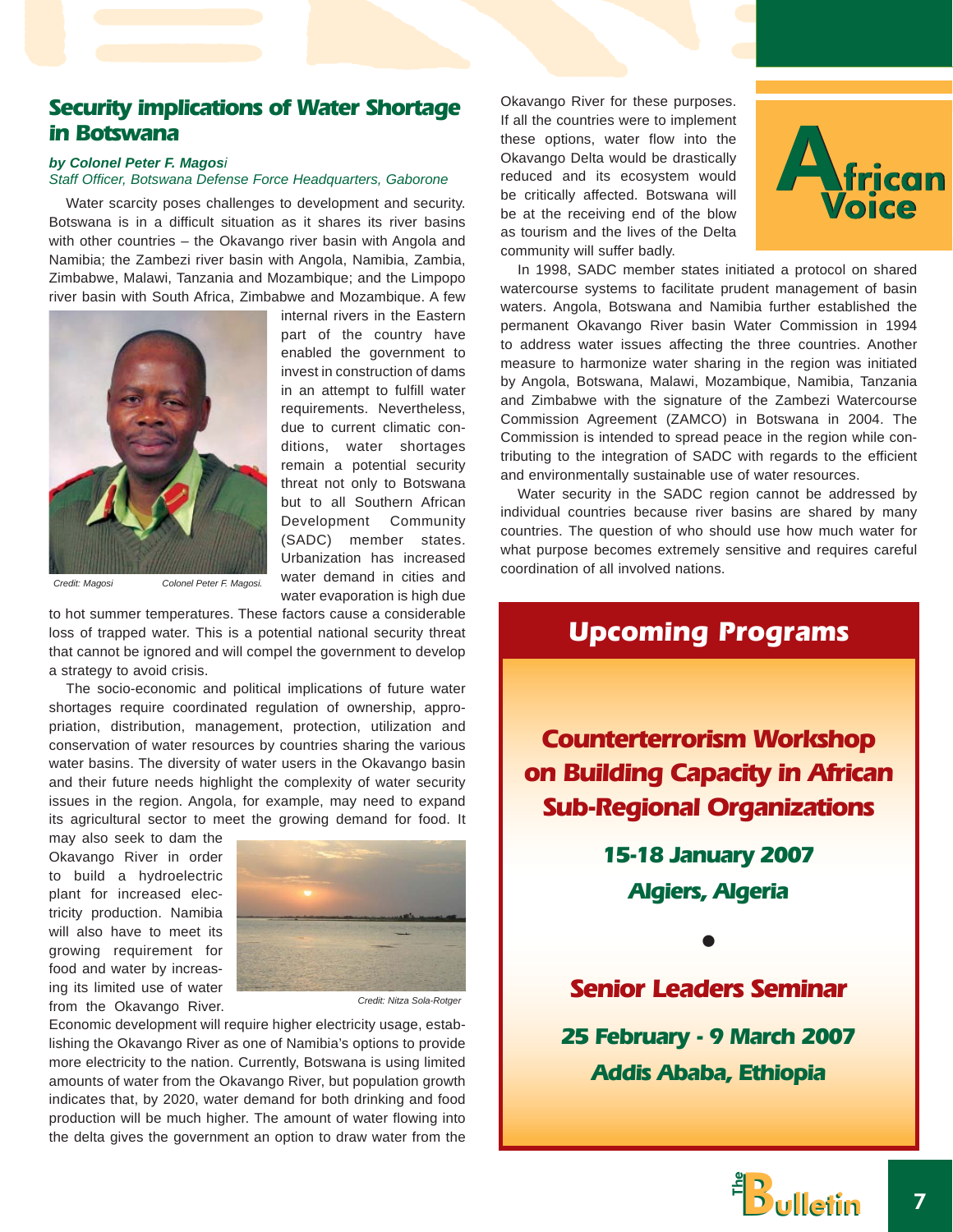## **Security implications of Water Shortage in Botswana**

#### *by Colonel Peter F. Magosi*

*Staff Officer, Botswana Defense Force Headquarters, Gaborone*

Water scarcity poses challenges to development and security. Botswana is in a difficult situation as it shares its river basins with other countries – the Okavango river basin with Angola and Namibia; the Zambezi river basin with Angola, Namibia, Zambia, Zimbabwe, Malawi, Tanzania and Mozambique; and the Limpopo river basin with South Africa, Zimbabwe and Mozambique. A few



internal rivers in the Eastern part of the country have enabled the government to invest in construction of dams in an attempt to fulfill water requirements. Nevertheless, due to current climatic conditions, water shortages remain a potential security threat not only to Botswana but to all Southern African Development Community (SADC) member states. Urbanization has increased water demand in cities and water evaporation is high due

to hot summer temperatures. These factors cause a considerable loss of trapped water. This is a potential national security threat that cannot be ignored and will compel the government to develop a strategy to avoid crisis.

The socio-economic and political implications of future water shortages require coordinated regulation of ownership, appropriation, distribution, management, protection, utilization and conservation of water resources by countries sharing the various water basins. The diversity of water users in the Okavango basin and their future needs highlight the complexity of water security issues in the region. Angola, for example, may need to expand its agricultural sector to meet the growing demand for food. It

may also seek to dam the Okavango River in order to build a hydroelectric plant for increased electricity production. Namibia will also have to meet its growing requirement for food and water by increasing its limited use of water from the Okavango River.



*Credit: Nitza Sola-Rotger*

Economic development will require higher electricity usage, establishing the Okavango River as one of Namibia's options to provide more electricity to the nation. Currently, Botswana is using limited amounts of water from the Okavango River, but population growth indicates that, by 2020, water demand for both drinking and food production will be much higher. The amount of water flowing into the delta gives the government an option to draw water from the Okavango River for these purposes. If all the countries were to implement these options, water flow into the Okavango Delta would be drastically reduced and its ecosystem would be critically affected. Botswana will be at the receiving end of the blow as tourism and the lives of the Delta community will suffer badly.



In 1998, SADC member states initiated a protocol on shared watercourse systems to facilitate prudent management of basin waters. Angola, Botswana and Namibia further established the permanent Okavango River basin Water Commission in 1994 to address water issues affecting the three countries. Another measure to harmonize water sharing in the region was initiated by Angola, Botswana, Malawi, Mozambique, Namibia, Tanzania and Zimbabwe with the signature of the Zambezi Watercourse Commission Agreement (ZAMCO) in Botswana in 2004. The Commission is intended to spread peace in the region while contributing to the integration of SADC with regards to the efficient and environmentally sustainable use of water resources.

Water security in the SADC region cannot be addressed by individual countries because river basins are shared by many countries. The question of who should use how much water for what purpose becomes extremely sensitive and requires careful coordination of all involved nations.